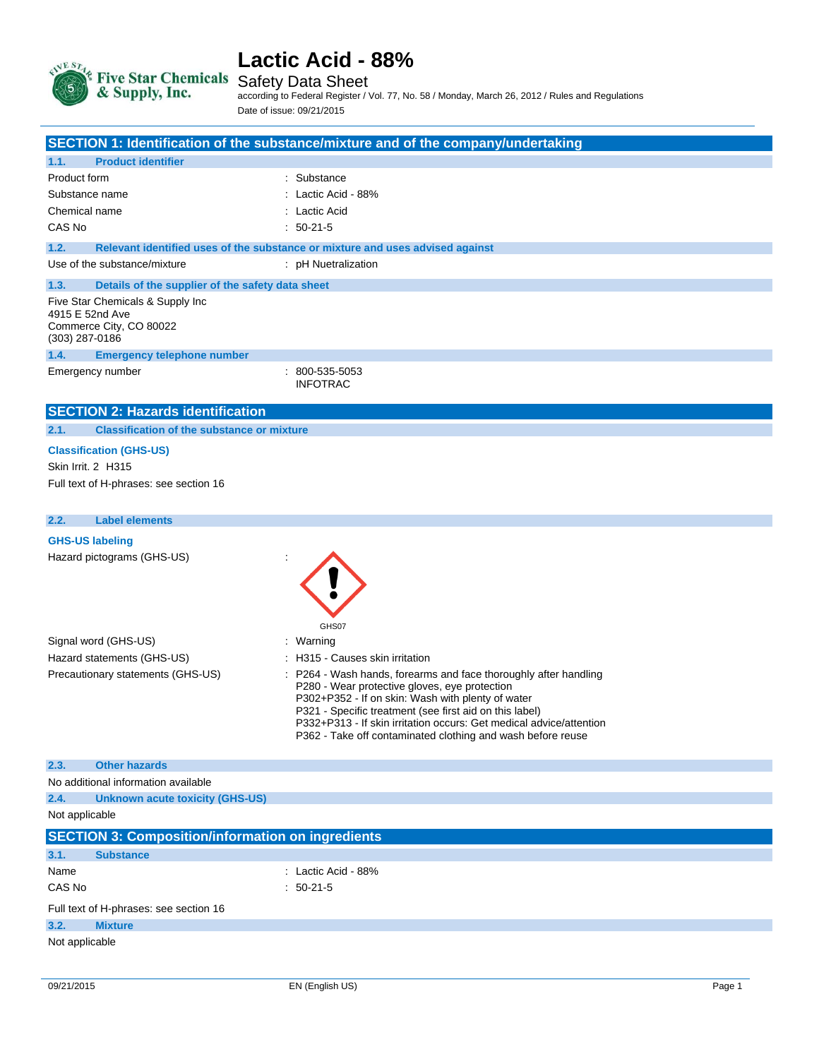

Safety Data Sheet

according to Federal Register / Vol. 77, No. 58 / Monday, March 26, 2012 / Rules and Regulations Date of issue: 09/21/2015

|                                                              |                                                          | SECTION 1: Identification of the substance/mixture and of the company/undertaking                                                                                                                                                                                                                                                                                     |
|--------------------------------------------------------------|----------------------------------------------------------|-----------------------------------------------------------------------------------------------------------------------------------------------------------------------------------------------------------------------------------------------------------------------------------------------------------------------------------------------------------------------|
| 1.1.                                                         | <b>Product identifier</b>                                |                                                                                                                                                                                                                                                                                                                                                                       |
| Product form                                                 |                                                          | : Substance                                                                                                                                                                                                                                                                                                                                                           |
| Substance name                                               |                                                          | : Lactic Acid - 88%                                                                                                                                                                                                                                                                                                                                                   |
| Chemical name                                                |                                                          | : Lactic Acid                                                                                                                                                                                                                                                                                                                                                         |
| CAS No                                                       |                                                          | $: 50-21-5$                                                                                                                                                                                                                                                                                                                                                           |
| 1.2.                                                         |                                                          | Relevant identified uses of the substance or mixture and uses advised against                                                                                                                                                                                                                                                                                         |
|                                                              | Use of the substance/mixture                             | : pH Nuetralization                                                                                                                                                                                                                                                                                                                                                   |
| 1.3.                                                         | Details of the supplier of the safety data sheet         |                                                                                                                                                                                                                                                                                                                                                                       |
| 4915 E 52nd Ave<br>Commerce City, CO 80022<br>(303) 287-0186 | Five Star Chemicals & Supply Inc                         |                                                                                                                                                                                                                                                                                                                                                                       |
| 1.4.                                                         | <b>Emergency telephone number</b>                        |                                                                                                                                                                                                                                                                                                                                                                       |
| Emergency number                                             |                                                          | 800-535-5053<br><b>INFOTRAC</b>                                                                                                                                                                                                                                                                                                                                       |
|                                                              | <b>SECTION 2: Hazards identification</b>                 |                                                                                                                                                                                                                                                                                                                                                                       |
| 2.1.                                                         | <b>Classification of the substance or mixture</b>        |                                                                                                                                                                                                                                                                                                                                                                       |
| <b>Classification (GHS-US)</b>                               |                                                          |                                                                                                                                                                                                                                                                                                                                                                       |
| <b>Skin Irrit. 2 H315</b>                                    |                                                          |                                                                                                                                                                                                                                                                                                                                                                       |
|                                                              | Full text of H-phrases: see section 16                   |                                                                                                                                                                                                                                                                                                                                                                       |
|                                                              |                                                          |                                                                                                                                                                                                                                                                                                                                                                       |
| 2.2.                                                         | <b>Label elements</b>                                    |                                                                                                                                                                                                                                                                                                                                                                       |
| <b>GHS-US labeling</b>                                       |                                                          |                                                                                                                                                                                                                                                                                                                                                                       |
|                                                              | Hazard pictograms (GHS-US)                               | GHS07                                                                                                                                                                                                                                                                                                                                                                 |
| Signal word (GHS-US)                                         |                                                          | : Warning                                                                                                                                                                                                                                                                                                                                                             |
|                                                              | Hazard statements (GHS-US)                               | : H315 - Causes skin irritation                                                                                                                                                                                                                                                                                                                                       |
| Precautionary statements (GHS-US)                            |                                                          | P264 - Wash hands, forearms and face thoroughly after handling<br>P280 - Wear protective gloves, eye protection<br>P302+P352 - If on skin: Wash with plenty of water<br>P321 - Specific treatment (see first aid on this label)<br>P332+P313 - If skin irritation occurs: Get medical advice/attention<br>P362 - Take off contaminated clothing and wash before reuse |
| 2.3.                                                         | <b>Other hazards</b>                                     |                                                                                                                                                                                                                                                                                                                                                                       |
|                                                              | No additional information available                      |                                                                                                                                                                                                                                                                                                                                                                       |
| 2.4.                                                         | <b>Unknown acute toxicity (GHS-US)</b>                   |                                                                                                                                                                                                                                                                                                                                                                       |
| Not applicable                                               |                                                          |                                                                                                                                                                                                                                                                                                                                                                       |
|                                                              | <b>SECTION 3: Composition/information on ingredients</b> |                                                                                                                                                                                                                                                                                                                                                                       |
| 3.1.                                                         | <b>Substance</b>                                         |                                                                                                                                                                                                                                                                                                                                                                       |
| Name                                                         |                                                          | : Lactic Acid - 88%                                                                                                                                                                                                                                                                                                                                                   |
| CAS No                                                       |                                                          | $: 50-21-5$                                                                                                                                                                                                                                                                                                                                                           |
|                                                              | Full text of H-phrases: see section 16                   |                                                                                                                                                                                                                                                                                                                                                                       |
| <b>Mixture</b><br>3.2.                                       |                                                          |                                                                                                                                                                                                                                                                                                                                                                       |
| Not applicable                                               |                                                          |                                                                                                                                                                                                                                                                                                                                                                       |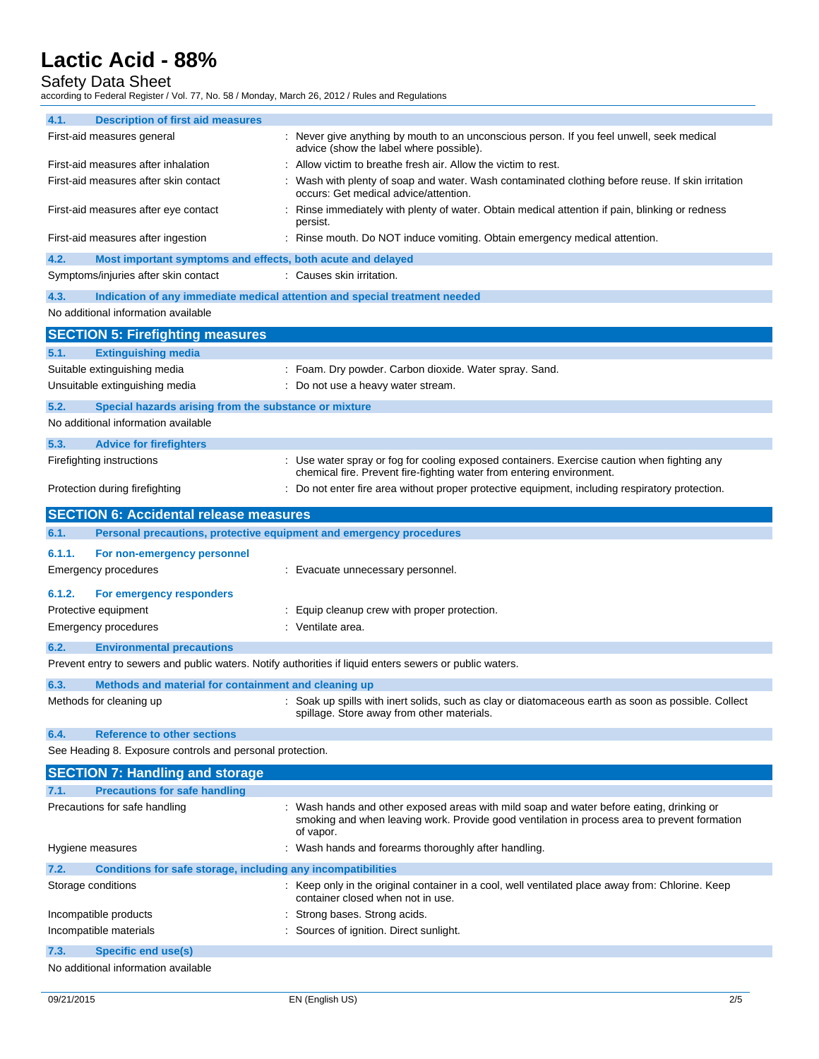## Safety Data Sheet

according to Federal Register / Vol. 77, No. 58 / Monday, March 26, 2012 / Rules and Regulations

| 4.1.                                                      | <b>Description of first aid measures</b>                            |                                                                                                                                                                                                       |  |
|-----------------------------------------------------------|---------------------------------------------------------------------|-------------------------------------------------------------------------------------------------------------------------------------------------------------------------------------------------------|--|
|                                                           | First-aid measures general                                          | : Never give anything by mouth to an unconscious person. If you feel unwell, seek medical<br>advice (show the label where possible).                                                                  |  |
| First-aid measures after inhalation                       |                                                                     | Allow victim to breathe fresh air. Allow the victim to rest.                                                                                                                                          |  |
| First-aid measures after skin contact                     |                                                                     | : Wash with plenty of soap and water. Wash contaminated clothing before reuse. If skin irritation<br>occurs: Get medical advice/attention.                                                            |  |
|                                                           | First-aid measures after eye contact                                | : Rinse immediately with plenty of water. Obtain medical attention if pain, blinking or redness<br>persist.                                                                                           |  |
|                                                           | First-aid measures after ingestion                                  | : Rinse mouth. Do NOT induce vomiting. Obtain emergency medical attention.                                                                                                                            |  |
| 4.2.                                                      | Most important symptoms and effects, both acute and delayed         |                                                                                                                                                                                                       |  |
|                                                           | Symptoms/injuries after skin contact                                | : Causes skin irritation.                                                                                                                                                                             |  |
| 4.3.                                                      |                                                                     | Indication of any immediate medical attention and special treatment needed                                                                                                                            |  |
|                                                           | No additional information available                                 |                                                                                                                                                                                                       |  |
|                                                           | <b>SECTION 5: Firefighting measures</b>                             |                                                                                                                                                                                                       |  |
| 5.1.                                                      | <b>Extinguishing media</b>                                          |                                                                                                                                                                                                       |  |
|                                                           | Suitable extinguishing media                                        | : Foam. Dry powder. Carbon dioxide. Water spray. Sand.                                                                                                                                                |  |
|                                                           | Unsuitable extinguishing media                                      | : Do not use a heavy water stream.                                                                                                                                                                    |  |
| 5.2.                                                      | Special hazards arising from the substance or mixture               |                                                                                                                                                                                                       |  |
|                                                           | No additional information available                                 |                                                                                                                                                                                                       |  |
| 5.3.                                                      | <b>Advice for firefighters</b>                                      |                                                                                                                                                                                                       |  |
|                                                           | Firefighting instructions                                           | : Use water spray or fog for cooling exposed containers. Exercise caution when fighting any                                                                                                           |  |
|                                                           |                                                                     | chemical fire. Prevent fire-fighting water from entering environment.                                                                                                                                 |  |
|                                                           | Protection during firefighting                                      | : Do not enter fire area without proper protective equipment, including respiratory protection.                                                                                                       |  |
|                                                           | <b>SECTION 6: Accidental release measures</b>                       |                                                                                                                                                                                                       |  |
| 6.1.                                                      | Personal precautions, protective equipment and emergency procedures |                                                                                                                                                                                                       |  |
| 6.1.1.                                                    | For non-emergency personnel                                         |                                                                                                                                                                                                       |  |
|                                                           | <b>Emergency procedures</b>                                         | : Evacuate unnecessary personnel.                                                                                                                                                                     |  |
|                                                           |                                                                     |                                                                                                                                                                                                       |  |
| 6.1.2.                                                    | For emergency responders<br>Protective equipment                    |                                                                                                                                                                                                       |  |
|                                                           | Emergency procedures                                                | : Equip cleanup crew with proper protection.<br>: Ventilate area.                                                                                                                                     |  |
|                                                           |                                                                     |                                                                                                                                                                                                       |  |
| 6.2.                                                      | <b>Environmental precautions</b>                                    |                                                                                                                                                                                                       |  |
|                                                           |                                                                     | Prevent entry to sewers and public waters. Notify authorities if liquid enters sewers or public waters.                                                                                               |  |
| 6.3.                                                      | Methods and material for containment and cleaning up                |                                                                                                                                                                                                       |  |
|                                                           | Methods for cleaning up                                             | : Soak up spills with inert solids, such as clay or diatomaceous earth as soon as possible. Collect<br>spillage. Store away from other materials.                                                     |  |
| 6.4.                                                      | <b>Reference to other sections</b>                                  |                                                                                                                                                                                                       |  |
| See Heading 8. Exposure controls and personal protection. |                                                                     |                                                                                                                                                                                                       |  |
|                                                           | <b>SECTION 7: Handling and storage</b>                              |                                                                                                                                                                                                       |  |
| 7.1.                                                      | <b>Precautions for safe handling</b>                                |                                                                                                                                                                                                       |  |
|                                                           | Precautions for safe handling                                       | : Wash hands and other exposed areas with mild soap and water before eating, drinking or<br>smoking and when leaving work. Provide good ventilation in process area to prevent formation<br>of vapor. |  |
|                                                           | Hygiene measures                                                    | : Wash hands and forearms thoroughly after handling.                                                                                                                                                  |  |
| 7.2.                                                      | Conditions for safe storage, including any incompatibilities        |                                                                                                                                                                                                       |  |
|                                                           | Storage conditions                                                  | : Keep only in the original container in a cool, well ventilated place away from: Chlorine. Keep<br>container closed when not in use.                                                                 |  |
|                                                           | Incompatible products                                               | : Strong bases. Strong acids.                                                                                                                                                                         |  |
|                                                           |                                                                     |                                                                                                                                                                                                       |  |
|                                                           | Incompatible materials                                              | : Sources of ignition. Direct sunlight.                                                                                                                                                               |  |
| 7.3.                                                      | <b>Specific end use(s)</b>                                          |                                                                                                                                                                                                       |  |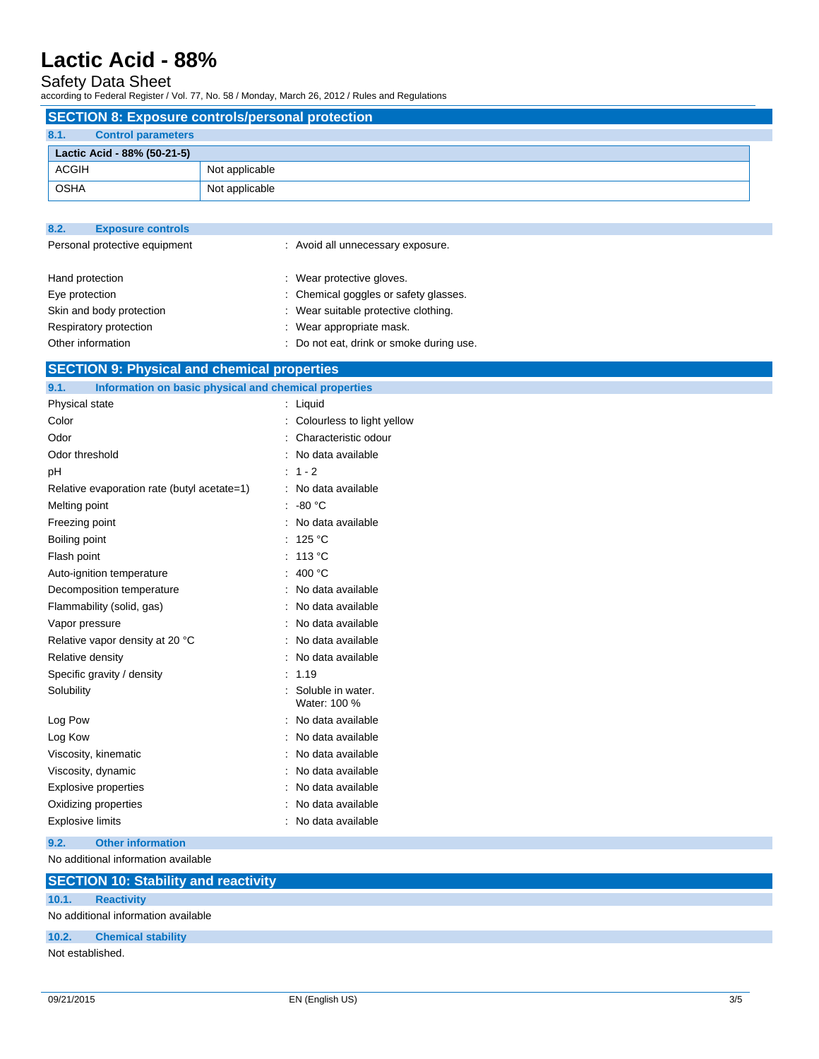## Safety Data Sheet

according to Federal Register / Vol. 77, No. 58 / Monday, March 26, 2012 / Rules and Regulations

|              | <b>SECTION 8: Exposure controls/personal protection</b> |                |  |  |
|--------------|---------------------------------------------------------|----------------|--|--|
| 8.1.         | <b>Control parameters</b>                               |                |  |  |
|              | Lactic Acid - 88% (50-21-5)                             |                |  |  |
| <b>ACGIH</b> |                                                         | Not applicable |  |  |
| <b>OSHA</b>  |                                                         | Not applicable |  |  |

| 8.2.                          | <b>Exposure controls</b> |                                       |
|-------------------------------|--------------------------|---------------------------------------|
| Personal protective equipment |                          | : Avoid all unnecessary exposure.     |
|                               |                          |                                       |
| Hand protection               |                          | : Wear protective gloves.             |
| Eye protection                |                          | : Chemical goggles or safety glasses. |
| Skin and body protection      |                          | : Wear suitable protective clothing.  |
| Respiratory protection        |                          | : Wear appropriate mask.              |

Other information  $\qquad \qquad : \quad$  Do not eat, drink or smoke during use.

## **SECTION 9: Physical and chemical properties**

| Information on basic physical and chemical properties<br>9.1. |                                   |
|---------------------------------------------------------------|-----------------------------------|
| Physical state                                                | Liquid<br>÷.                      |
| Color                                                         | Colourless to light yellow        |
| Odor                                                          | Characteristic odour              |
| Odor threshold                                                | No data available                 |
| рH                                                            | $1 - 2$                           |
| Relative evaporation rate (butyl acetate=1)                   | No data available                 |
| Melting point                                                 | $-80 °C$                          |
| Freezing point                                                | No data available                 |
| Boiling point                                                 | 125 °C                            |
| Flash point                                                   | 113 °C                            |
| Auto-ignition temperature                                     | 400 °C<br>÷                       |
| Decomposition temperature                                     | No data available                 |
| Flammability (solid, gas)                                     | No data available                 |
| Vapor pressure                                                | No data available                 |
| Relative vapor density at 20 °C                               | No data available                 |
| Relative density                                              | No data available                 |
| Specific gravity / density                                    | 1.19                              |
| Solubility                                                    | Soluble in water.<br>Water: 100 % |
| Log Pow                                                       | No data available                 |
| Log Kow                                                       | No data available                 |
| Viscosity, kinematic                                          | No data available                 |
| Viscosity, dynamic                                            | No data available                 |
| <b>Explosive properties</b>                                   | No data available                 |
| Oxidizing properties                                          | No data available                 |
| <b>Explosive limits</b>                                       | No data available                 |
|                                                               |                                   |

### **9.2. Other information**

No additional information available

## **SECTION 10: Stability and reactivity**

**10.1. Reactivity**

No additional information available

### **10.2. Chemical stability**

Not established.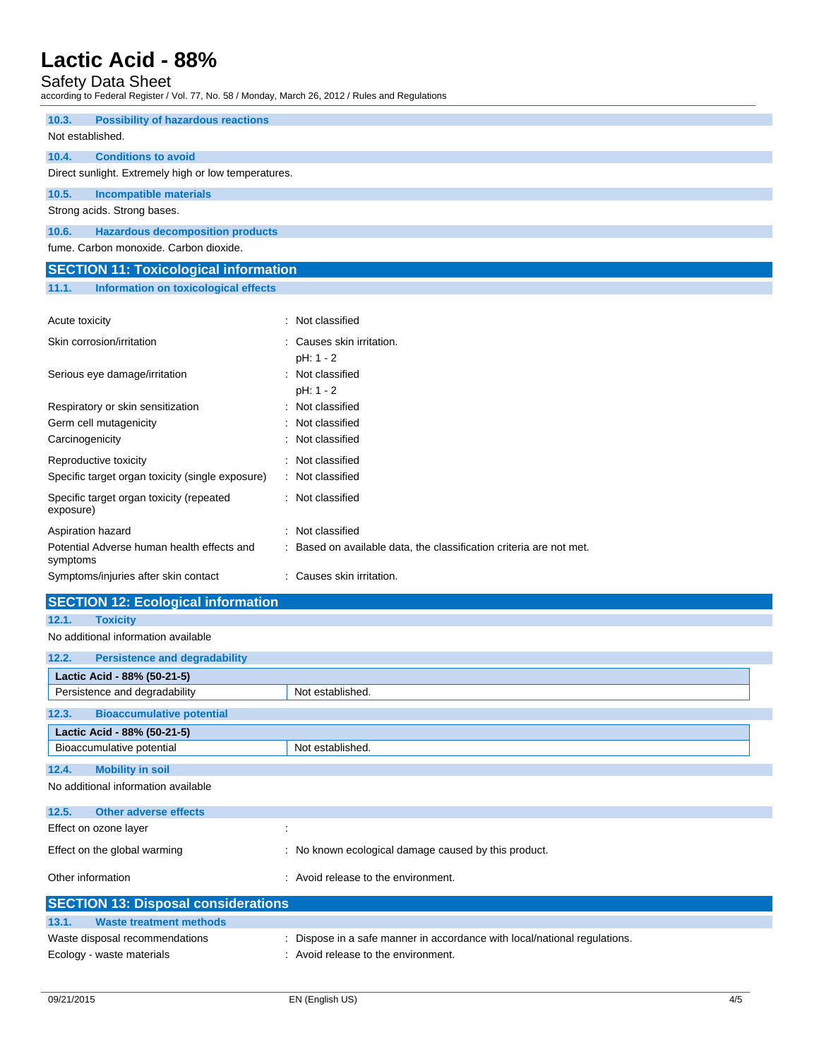# Safety Data Sheet

| according to Federal Register / Vol. 77, No. 58 / Monday, March 26, 2012 / Rules and Regulations |                                                                     |  |  |
|--------------------------------------------------------------------------------------------------|---------------------------------------------------------------------|--|--|
| 10.3.<br><b>Possibility of hazardous reactions</b>                                               |                                                                     |  |  |
| Not established.                                                                                 |                                                                     |  |  |
| <b>Conditions to avoid</b><br>10.4.                                                              |                                                                     |  |  |
| Direct sunlight. Extremely high or low temperatures.                                             |                                                                     |  |  |
| 10.5.<br><b>Incompatible materials</b>                                                           |                                                                     |  |  |
| Strong acids. Strong bases.                                                                      |                                                                     |  |  |
| 10.6.<br><b>Hazardous decomposition products</b>                                                 |                                                                     |  |  |
| fume. Carbon monoxide. Carbon dioxide.                                                           |                                                                     |  |  |
| <b>SECTION 11: Toxicological information</b>                                                     |                                                                     |  |  |
| <b>Information on toxicological effects</b><br>11.1.                                             |                                                                     |  |  |
| Acute toxicity                                                                                   | : Not classified                                                    |  |  |
| Skin corrosion/irritation                                                                        | Causes skin irritation.                                             |  |  |
|                                                                                                  | pH: 1 - 2                                                           |  |  |
| Serious eye damage/irritation                                                                    | : Not classified                                                    |  |  |
|                                                                                                  | pH: 1 - 2                                                           |  |  |
| Respiratory or skin sensitization                                                                | Not classified                                                      |  |  |
| Germ cell mutagenicity                                                                           | Not classified<br>Not classified                                    |  |  |
| Carcinogenicity                                                                                  |                                                                     |  |  |
| Reproductive toxicity                                                                            | : Not classified                                                    |  |  |
| Specific target organ toxicity (single exposure)                                                 | : Not classified                                                    |  |  |
| Specific target organ toxicity (repeated<br>exposure)                                            | : Not classified                                                    |  |  |
| Aspiration hazard                                                                                | : Not classified                                                    |  |  |
| Potential Adverse human health effects and<br>symptoms                                           | : Based on available data, the classification criteria are not met. |  |  |
| Symptoms/injuries after skin contact                                                             | : Causes skin irritation.                                           |  |  |
| <b>SECTION 12: Ecological information</b>                                                        |                                                                     |  |  |
| 12.1.<br><b>Toxicity</b>                                                                         |                                                                     |  |  |
| No additional information available                                                              |                                                                     |  |  |
| 12.2.<br><b>Persistence and degradability</b>                                                    |                                                                     |  |  |
| Lactic Acid - 88% (50-21-5)                                                                      |                                                                     |  |  |
| Persistence and degradability<br>Not established.                                                |                                                                     |  |  |
| 12.3.<br><b>Bioaccumulative potential</b>                                                        |                                                                     |  |  |
| Lactic Acid - 88% (50-21-5)                                                                      |                                                                     |  |  |
| Bioaccumulative potential<br>Not established.                                                    |                                                                     |  |  |
| <b>Mobility in soil</b><br>12.4.                                                                 |                                                                     |  |  |
| No additional information available                                                              |                                                                     |  |  |
| 12.5.<br><b>Other adverse effects</b>                                                            |                                                                     |  |  |
| Effect on ozone layer                                                                            | $\ddot{\phantom{a}}$                                                |  |  |
| Effect on the global warming<br>: No known ecological damage caused by this product.             |                                                                     |  |  |
| Other information                                                                                | : Avoid release to the environment.                                 |  |  |

| <b>SECTION 13: Disposal considerations</b> |                                                                         |  |  |
|--------------------------------------------|-------------------------------------------------------------------------|--|--|
| 13.1.<br>Waste treatment methods           |                                                                         |  |  |
| Waste disposal recommendations             | Dispose in a safe manner in accordance with local/national regulations. |  |  |
| Ecology - waste materials                  | : Avoid release to the environment.                                     |  |  |